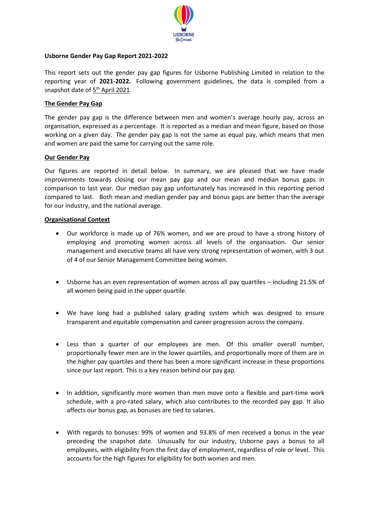

### **Usborne Gender Pay Gap Report 2021-2022**

This report sets out the gender pay gap figures for Usborne Publishing Limited in relation to the reporting year of **2021-2022.** Following government guidelines, the data is compiled from a snapshot date of 5<sup>th</sup> April 2021.

### **The Gender Pay Gap**

The gender pay gap is the difference between men and women's average hourly pay, across an organisation, expressed as a percentage. It is reported as a median and mean figure, based on those working on a given day. The gender pay gap is not the same as equal pay, which means that men and women are paid the same for carrying out the same role.

#### **Our Gender Pay**

Our figures are reported in detail below. In summary, we are pleased that we have made improvements towards closing our mean pay gap and our mean and median bonus gaps in comparison to last year. Our median pay gap unfortunately has increased in this reporting period compared to last. Both mean and median gender pay and bonus gaps are better than the average for our industry, and the national average.

#### **Organisational Context**

- Our workforce is made up of 76% women, and we are proud to have a strong history of employing and promoting women across all levels of the organisation. Our senior management and executive teams all have very strong representation of women, with 3 out of 4 of our Senior Management Committee being women.
- Usborne has an even representation of women across all pay quartiles including 21.5% of all women being paid in the upper quartile.
- We have long had a published salary grading system which was designed to ensure transparent and equitable compensation and career progression across the company.
- Less than a quarter of our employees are men. Of this smaller overall number, proportionally fewer men are in the lower quartiles, and proportionally more of them are in the higher pay quartiles and there has been a more significant increase in these proportions since our last report. This is a key reason behind our pay gap.
- In addition, significantly more women than men move onto a flexible and part-time work schedule, with a pro-rated salary, which also contributes to the recorded pay gap. It also affects our bonus gap, as bonuses are tied to salaries.
- With regards to bonuses: 99% of women and 93.8% of men received a bonus in the year preceding the snapshot date. Unusually for our industry, Usborne pays a bonus to all employees, with eligibility from the first day of employment, regardless of role or level. This accounts for the high figures for eligibility for both women and men.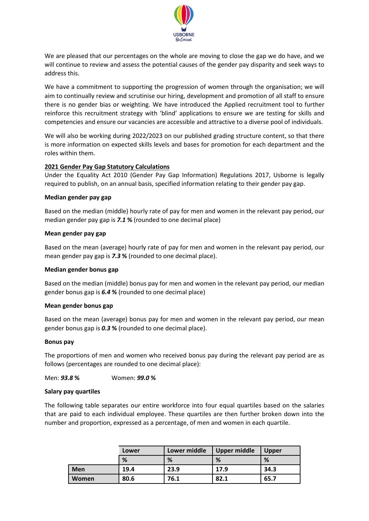

We are pleased that our percentages on the whole are moving to close the gap we do have, and we will continue to review and assess the potential causes of the gender pay disparity and seek ways to address this.

We have a commitment to supporting the progression of women through the organisation; we will aim to continually review and scrutinise our hiring, development and promotion of all staff to ensure there is no gender bias or weighting. We have introduced the Applied recruitment tool to further reinforce this recruitment strategy with 'blind' applications to ensure we are testing for skills and competencies and ensure our vacancies are accessible and attractive to a diverse pool of individuals.

We will also be working during 2022/2023 on our published grading structure content, so that there is more information on expected skills levels and bases for promotion for each department and the roles within them.

## **2021 Gender Pay Gap Statutory Calculations**

Under the Equality Act 2010 (Gender Pay Gap Information) Regulations 2017, Usborne is legally required to publish, on an annual basis, specified information relating to their gender pay gap.

#### **Median gender pay gap**

Based on the median (middle) hourly rate of pay for men and women in the relevant pay period, our median gender pay gap is *7.1* **%** (rounded to one decimal place)

#### **Mean gender pay gap**

Based on the mean (average) hourly rate of pay for men and women in the relevant pay period, our mean gender pay gap is *7.3* **%** (rounded to one decimal place).

#### **Median gender bonus gap**

Based on the median (middle) bonus pay for men and women in the relevant pay period, our median gender bonus gap is *6.4* **%** (rounded to one decimal place)

#### **Mean gender bonus gap**

Based on the mean (average) bonus pay for men and women in the relevant pay period, our mean gender bonus gap is *0.3* **%** (rounded to one decimal place).

#### **Bonus pay**

The proportions of men and women who received bonus pay during the relevant pay period are as follows (percentages are rounded to one decimal place):

Men: *93.8* **%** Women: *99.0* **%**

#### **Salary pay quartiles**

The following table separates our entire workforce into four equal quartiles based on the salaries that are paid to each individual employee. These quartiles are then further broken down into the number and proportion, expressed as a percentage, of men and women in each quartile.

|            | Lower | Lower middle | <b>Upper middle</b> | <b>Upper</b> |
|------------|-------|--------------|---------------------|--------------|
|            | %     | %            | %                   | %            |
| <b>Men</b> | 19.4  | 23.9         | 17.9                | 34.3         |
| Women      | 80.6  | 76.1         | 82.1                | 65.7         |